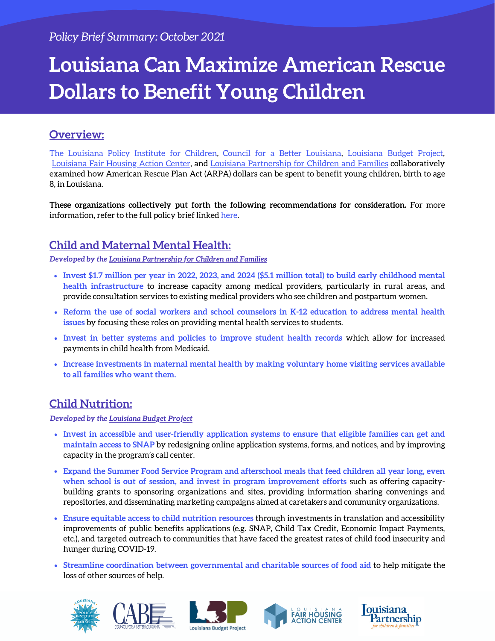# **Louisiana Can Maximize American Rescue Dollars to Benefit Young Children**

### **Overview:**

The [Louisiana](https://www.policyinstitutela.org/) Policy Institute for Children, Council for a Better [Louisiana](https://cabl.org/), [Louisiana](https://www.labudget.org/) Budget Project, [Louisiana](https://www.lafairhousing.org/) Fair Housing Action Center, and Louisiana [Partnership](http://www.louisianapartnership.org/) for Children and Families collaboratively examined how American Rescue Plan Act (ARPA) dollars can be spent to benefit young children, birth to age 8, in Louisiana.

**These organizations collectively put forth the following recommendations for consideration.** For more information, refer to the full policy brief linked [here.](https://43cca328-2851-4b57-869d-28408ad41b42.usrfiles.com/ugd/43cca3_b0168faeb4a640c18ee047fda2f029a4.pdf)

## **Child and Maternal Mental Health:**

*Developed by the [Louisiana Partnership for Children and Families](http://www.louisianapartnership.org/)*

- Invest \$1.7 million per year in 2022, 2023, and 2024 (\$5.1 million total) to build early childhood mental **health infrastructure** to increase capacity among medical providers, particularly in rural areas, and provide consultation services to existing medical providers who see children and postpartum women.
- **Reform the use of social workers and school counselors in K-12 education to address mental health issues** by focusing these roles on providing mental health services to students.
- **Invest in better systems and policies to improve student health records** which allow for increased payments in child health from Medicaid.
- **Increase investments in maternal mental health by making voluntary home visiting services available to all families who want them.**

#### **Child Nutrition:**

*Developed by the [Louisiana Budget Project](https://www.labudget.org/)*

- **Invest in accessible and user-friendly application systems to ensure that eligible families can get and maintain access to SNAP** by redesigning online application systems, forms, and notices, and by improving capacity in the program's call center.
- **Expand the Summer Food Service Program and afterschool meals that feed children all year long, even when school is out of session, and invest in program improvement efforts** such as offering capacitybuilding grants to sponsoring organizations and sites, providing information sharing convenings and repositories, and disseminating marketing campaigns aimed at caretakers and community organizations.
- **Ensure equitable access to child nutrition resources** through investments in translation and accessibility improvements of public benefits applications (e.g. SNAP, Child Tax Credit, Economic Impact Payments, etc.), and targeted outreach to communities that have faced the greatest rates of child food insecurity and hunger during COVID-19.
- **Streamline coordination between governmental and charitable sources of food aid** to help mitigate the loss of other sources of help.